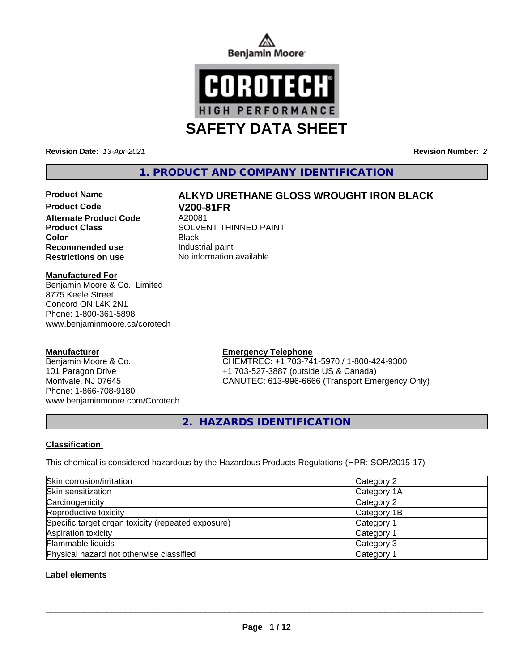



**Revision Date:** *13-Apr-2021* **Revision Number:** *2*

**1. PRODUCT AND COMPANY IDENTIFICATION**

# **Product Name ALKYD URETHANE GLOSS WROUGHT IRON BLACK**

**Product Code V200-81FR Alternate Product Code Recommended use Industrial paint Restrictions on use** No information available

**Product Class SOLVENT THINNED PAINT Color** Black

**Manufactured For**

Benjamin Moore & Co., Limited 8775 Keele Street Concord ON L4K 2N1 Phone: 1-800-361-5898 www.benjaminmoore.ca/corotech

#### **Manufacturer**

Benjamin Moore & Co. 101 Paragon Drive Montvale, NJ 07645 Phone: 1-866-708-9180 www.benjaminmoore.com/Corotech

#### **Emergency Telephone**

CHEMTREC: +1 703-741-5970 / 1-800-424-9300 +1 703-527-3887 (outside US & Canada) CANUTEC: 613-996-6666 (Transport Emergency Only)

**2. HAZARDS IDENTIFICATION**

#### **Classification**

This chemical is considered hazardous by the Hazardous Products Regulations (HPR: SOR/2015-17)

| Skin corrosion/irritation                          | Category 2            |
|----------------------------------------------------|-----------------------|
| Skin sensitization                                 | Category 1A           |
| Carcinogenicity                                    | Category 2            |
| Reproductive toxicity                              | Category 1B           |
| Specific target organ toxicity (repeated exposure) | Category 1            |
| Aspiration toxicity                                | Category 1            |
| Flammable liquids                                  | Category 3            |
| Physical hazard not otherwise classified           | Category <sup>2</sup> |

#### **Label elements**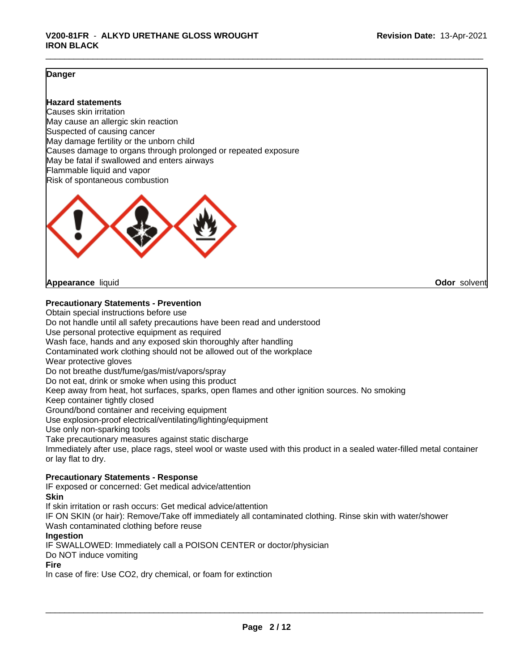#### **Danger**

#### **Hazard statements**

Causes skin irritation May cause an allergic skin reaction Suspected of causing cancer May damage fertility or the unborn child Causes damage to organs through prolonged or repeated exposure May be fatal if swallowed and enters airways Flammable liquid and vapor Risk of spontaneous combustion



**Appearance** liquid **Odor** solvent

#### **Precautionary Statements - Prevention**

Obtain special instructions before use Do not handle until all safety precautions have been read and understood Use personal protective equipment as required Wash face, hands and any exposed skin thoroughly after handling Contaminated work clothing should not be allowed out of the workplace Wear protective gloves Do not breathe dust/fume/gas/mist/vapors/spray Do not eat, drink or smoke when using this product Keep away from heat, hot surfaces, sparks, open flames and other ignition sources. No smoking Keep container tightly closed Ground/bond container and receiving equipment Use explosion-proof electrical/ventilating/lighting/equipment Use only non-sparking tools Take precautionary measures against static discharge Immediately after use, place rags, steel wool or waste used with this product in a sealed water-filled metal container or lay flat to dry.

#### **Precautionary Statements - Response**

IF exposed or concerned: Get medical advice/attention **Skin**

If skin irritation or rash occurs: Get medical advice/attention

IF ON SKIN (or hair): Remove/Take off immediately all contaminated clothing. Rinse skin with water/shower Wash contaminated clothing before reuse

#### **Ingestion**

IF SWALLOWED: Immediately call a POISON CENTER or doctor/physician

Do NOT induce vomiting

#### **Fire**

In case of fire: Use CO2, dry chemical, or foam for extinction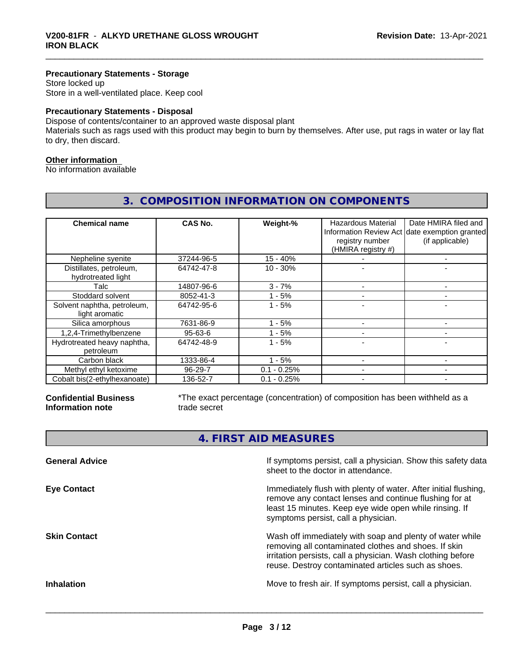#### **Precautionary Statements - Storage**

Store locked up Store in a well-ventilated place. Keep cool

#### **Precautionary Statements - Disposal**

Dispose of contents/container to an approved waste disposal plant

Materials such as rags used with this product may begin to burn by themselves. After use, put rags in water or lay flat to dry, then discard.

#### **Other information**

No information available

| <b>Chemical name</b>                          | CAS No.    | Weight-%      | Hazardous Material<br>registry number<br>(HMIRA registry #) | Date HMIRA filed and<br>Information Review Act date exemption granted<br>(if applicable) |
|-----------------------------------------------|------------|---------------|-------------------------------------------------------------|------------------------------------------------------------------------------------------|
| Nepheline syenite                             | 37244-96-5 | $15 - 40%$    |                                                             |                                                                                          |
| Distillates, petroleum,<br>hydrotreated light | 64742-47-8 | $10 - 30%$    |                                                             |                                                                                          |
| Talc                                          | 14807-96-6 | $3 - 7%$      |                                                             |                                                                                          |
| Stoddard solvent                              | 8052-41-3  | $-5%$         |                                                             | -                                                                                        |
| Solvent naphtha, petroleum,<br>light aromatic | 64742-95-6 | $1 - 5%$      |                                                             |                                                                                          |
| Silica amorphous                              | 7631-86-9  | - 5%          |                                                             |                                                                                          |
| 1,2,4-Trimethylbenzene                        | 95-63-6    | $1 - 5%$      |                                                             |                                                                                          |
| Hydrotreated heavy naphtha,<br>petroleum      | 64742-48-9 | $1 - 5%$      |                                                             |                                                                                          |
| Carbon black                                  | 1333-86-4  | $1 - 5%$      |                                                             |                                                                                          |
| Methyl ethyl ketoxime                         | 96-29-7    | $0.1 - 0.25%$ |                                                             |                                                                                          |
| Cobalt bis(2-ethylhexanoate)                  | 136-52-7   | $0.1 - 0.25%$ |                                                             |                                                                                          |

### **3. COMPOSITION INFORMATION ON COMPONENTS**

**Confidential Business Information note**

\*The exact percentage (concentration) of composition has been withheld as a trade secret

**4. FIRST AID MEASURES**

| <b>General Advice</b> | If symptoms persist, call a physician. Show this safety data<br>sheet to the doctor in attendance.                                                                                                                                     |
|-----------------------|----------------------------------------------------------------------------------------------------------------------------------------------------------------------------------------------------------------------------------------|
| <b>Eye Contact</b>    | Immediately flush with plenty of water. After initial flushing,<br>remove any contact lenses and continue flushing for at<br>least 15 minutes. Keep eye wide open while rinsing. If<br>symptoms persist, call a physician.             |
| <b>Skin Contact</b>   | Wash off immediately with soap and plenty of water while<br>removing all contaminated clothes and shoes. If skin<br>irritation persists, call a physician. Wash clothing before<br>reuse. Destroy contaminated articles such as shoes. |
| <b>Inhalation</b>     | Move to fresh air. If symptoms persist, call a physician.                                                                                                                                                                              |
|                       |                                                                                                                                                                                                                                        |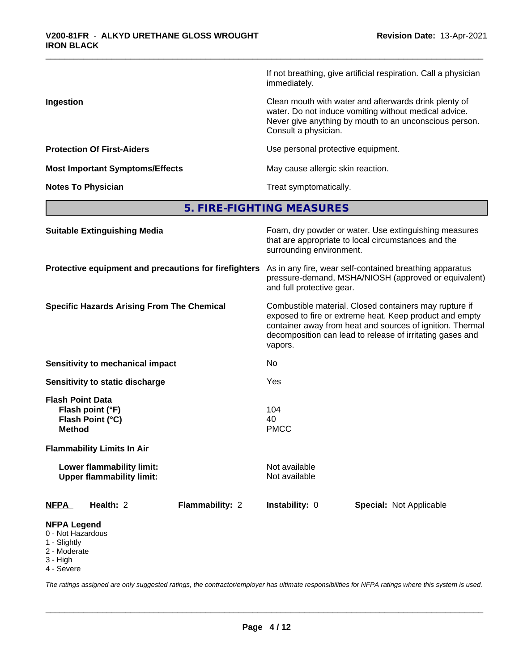|                                        | If not breathing, give artificial respiration. Call a physician<br>immediately.                                                                                                                  |
|----------------------------------------|--------------------------------------------------------------------------------------------------------------------------------------------------------------------------------------------------|
| Ingestion                              | Clean mouth with water and afterwards drink plenty of<br>water. Do not induce vomiting without medical advice.<br>Never give anything by mouth to an unconscious person.<br>Consult a physician. |
| <b>Protection Of First-Aiders</b>      | Use personal protective equipment.                                                                                                                                                               |
| <b>Most Important Symptoms/Effects</b> | May cause allergic skin reaction.                                                                                                                                                                |
| <b>Notes To Physician</b>              | Treat symptomatically.                                                                                                                                                                           |

**5. FIRE-FIGHTING MEASURES**

| <b>Suitable Extinguishing Media</b>                                                 | Foam, dry powder or water. Use extinguishing measures<br>that are appropriate to local circumstances and the<br>surrounding environment.                                                                                                               |  |  |  |
|-------------------------------------------------------------------------------------|--------------------------------------------------------------------------------------------------------------------------------------------------------------------------------------------------------------------------------------------------------|--|--|--|
| Protective equipment and precautions for firefighters                               | As in any fire, wear self-contained breathing apparatus<br>pressure-demand, MSHA/NIOSH (approved or equivalent)<br>and full protective gear.                                                                                                           |  |  |  |
| <b>Specific Hazards Arising From The Chemical</b>                                   | Combustible material. Closed containers may rupture if<br>exposed to fire or extreme heat. Keep product and empty<br>container away from heat and sources of ignition. Thermal<br>decomposition can lead to release of irritating gases and<br>vapors. |  |  |  |
| <b>Sensitivity to mechanical impact</b>                                             | No                                                                                                                                                                                                                                                     |  |  |  |
| Sensitivity to static discharge                                                     | Yes                                                                                                                                                                                                                                                    |  |  |  |
| <b>Flash Point Data</b><br>Flash point (°F)<br>Flash Point (°C)<br><b>Method</b>    | 104<br>40<br><b>PMCC</b>                                                                                                                                                                                                                               |  |  |  |
| <b>Flammability Limits In Air</b>                                                   |                                                                                                                                                                                                                                                        |  |  |  |
| Lower flammability limit:<br><b>Upper flammability limit:</b>                       | Not available<br>Not available                                                                                                                                                                                                                         |  |  |  |
| <b>NFPA</b><br>Health: 2<br><b>Flammability: 2</b>                                  | Instability: 0<br><b>Special: Not Applicable</b>                                                                                                                                                                                                       |  |  |  |
| <b>NFPA Legend</b><br>0 - Not Hazardous<br>1 - Slightly<br>2 - Moderate<br>3 - High |                                                                                                                                                                                                                                                        |  |  |  |

4 - Severe

*The ratings assigned are only suggested ratings, the contractor/employer has ultimate responsibilities for NFPA ratings where this system is used.*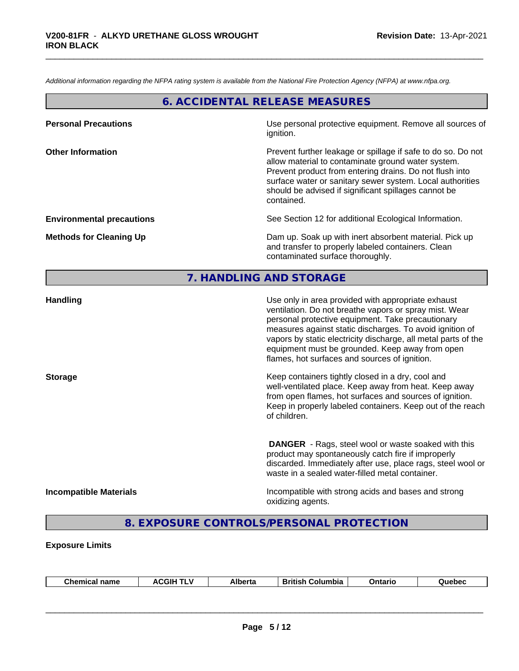*Additional information regarding the NFPA rating system is available from the National Fire Protection Agency (NFPA) at www.nfpa.org.*

#### **6. ACCIDENTAL RELEASE MEASURES**

| <b>Personal Precautions</b>      | Use personal protective equipment. Remove all sources of<br>ignition.                                                                                                                                                                                                                                            |
|----------------------------------|------------------------------------------------------------------------------------------------------------------------------------------------------------------------------------------------------------------------------------------------------------------------------------------------------------------|
| <b>Other Information</b>         | Prevent further leakage or spillage if safe to do so. Do not<br>allow material to contaminate ground water system.<br>Prevent product from entering drains. Do not flush into<br>surface water or sanitary sewer system. Local authorities<br>should be advised if significant spillages cannot be<br>contained. |
| <b>Environmental precautions</b> | See Section 12 for additional Ecological Information.                                                                                                                                                                                                                                                            |
| <b>Methods for Cleaning Up</b>   | Dam up. Soak up with inert absorbent material. Pick up<br>and transfer to properly labeled containers. Clean<br>contaminated surface thoroughly.                                                                                                                                                                 |

# **7. HANDLING AND STORAGE**

| <b>Handling</b>               | Use only in area provided with appropriate exhaust<br>ventilation. Do not breathe vapors or spray mist. Wear<br>personal protective equipment. Take precautionary<br>measures against static discharges. To avoid ignition of<br>vapors by static electricity discharge, all metal parts of the<br>equipment must be grounded. Keep away from open<br>flames, hot surfaces and sources of ignition. |
|-------------------------------|-----------------------------------------------------------------------------------------------------------------------------------------------------------------------------------------------------------------------------------------------------------------------------------------------------------------------------------------------------------------------------------------------------|
| <b>Storage</b>                | Keep containers tightly closed in a dry, cool and<br>well-ventilated place. Keep away from heat. Keep away<br>from open flames, hot surfaces and sources of ignition.<br>Keep in properly labeled containers. Keep out of the reach<br>of children.                                                                                                                                                 |
|                               | <b>DANGER</b> - Rags, steel wool or waste soaked with this<br>product may spontaneously catch fire if improperly<br>discarded. Immediately after use, place rags, steel wool or<br>waste in a sealed water-filled metal container.                                                                                                                                                                  |
| <b>Incompatible Materials</b> | Incompatible with strong acids and bases and strong<br>oxidizing agents.                                                                                                                                                                                                                                                                                                                            |

# **8. EXPOSURE CONTROLS/PERSONAL PROTECTION**

#### **Exposure Limits**

| <b>Chemical name</b> | <b>ACGIH TLV</b> | <b>Alberta</b> | <b>British Columbia</b> | Ontario | Quebec |  |
|----------------------|------------------|----------------|-------------------------|---------|--------|--|
|                      |                  |                |                         |         |        |  |
|                      |                  |                |                         |         |        |  |
|                      |                  |                |                         |         |        |  |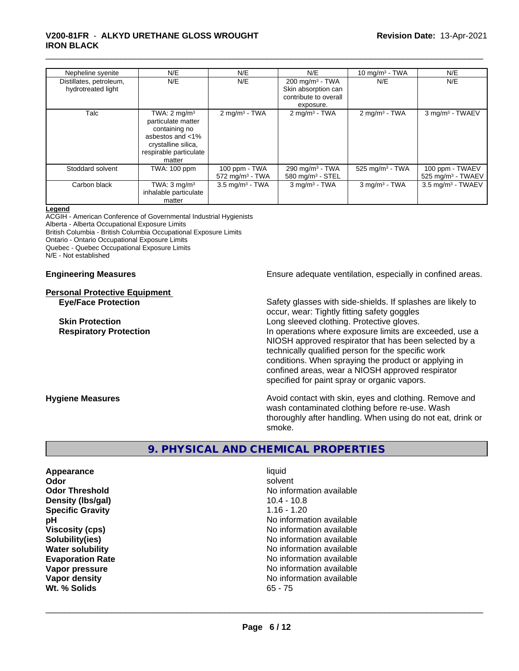#### \_\_\_\_\_\_\_\_\_\_\_\_\_\_\_\_\_\_\_\_\_\_\_\_\_\_\_\_\_\_\_\_\_\_\_\_\_\_\_\_\_\_\_\_\_\_\_\_\_\_\_\_\_\_\_\_\_\_\_\_\_\_\_\_\_\_\_\_\_\_\_\_\_\_\_\_\_\_\_\_\_\_\_\_\_\_\_\_\_\_\_\_\_ **V200-81FR** - **ALKYD URETHANE GLOSS WROUGHT IRON BLACK**

| Nepheline syenite                             | N/E                                                                                                                                           | N/E                                            | N/E                                                                                     | 10 mg/m $3$ - TWA           | N/E                                     |
|-----------------------------------------------|-----------------------------------------------------------------------------------------------------------------------------------------------|------------------------------------------------|-----------------------------------------------------------------------------------------|-----------------------------|-----------------------------------------|
| Distillates, petroleum,<br>hydrotreated light | N/E                                                                                                                                           | N/E                                            | $200 \text{ mg/m}^3$ - TWA<br>Skin absorption can<br>contribute to overall<br>exposure. | N/E                         | N/E                                     |
| Talc                                          | TWA: $2 \text{ mg/m}^3$<br>particulate matter<br>containing no<br>asbestos and <1%<br>crystalline silica,<br>respirable particulate<br>matter | $2 \text{mq/m}^3$ - TWA                        | $2 \text{ mg/m}^3$ - TWA                                                                | $2 \text{mq/m}^3$ - TWA     | 3 mg/m <sup>3</sup> - TWAEV             |
| Stoddard solvent                              | <b>TWA: 100 ppm</b>                                                                                                                           | 100 ppm - TWA<br>$572$ mg/m <sup>3</sup> - TWA | 290 mg/m $3$ - TWA<br>580 mg/m <sup>3</sup> - STEL                                      | 525 mg/m $3$ - TWA          | 100 ppm - TWAEV<br>525 mg/m $3$ - TWAEV |
| Carbon black                                  | TWA: $3 \text{ mq/m}^3$<br>inhalable particulate<br>matter                                                                                    | $3.5 \text{ mg/m}^3$ - TWA                     | $3$ mg/m <sup>3</sup> - TWA                                                             | $3$ mg/m <sup>3</sup> - TWA | $3.5$ mg/m <sup>3</sup> - TWAEV         |

#### **Legend**

ACGIH - American Conference of Governmental Industrial Hygienists Alberta - Alberta Occupational Exposure Limits

British Columbia - British Columbia Occupational Exposure Limits

Ontario - Ontario Occupational Exposure Limits

Quebec - Quebec Occupational Exposure Limits

N/E - Not established

# **Personal Protective Equipment**

**Engineering Measures Ensure** Ensure adequate ventilation, especially in confined areas.

**Eye/Face Protection** Safety glasses with side-shields. If splashes are likely to occur, wear: Tightly fitting safety goggles **Skin Protection Skin Protection Skin Protective gloves.** Long sleeved clothing. Protective gloves. **Respiratory Protection In operations where exposure limits are exceeded, use a** NIOSH approved respirator that has been selected by a technically qualified person for the specific work conditions. When spraying the product or applying in confined areas, wear a NIOSH approved respirator specified for paint spray or organic vapors.

**Hygiene Measures Avoid contact with skin, eyes and clothing. Remove and Avoid contact with skin, eyes and clothing. Remove and Avoid contact with skin, eyes and clothing. Remove and** wash contaminated clothing before re-use. Wash thoroughly after handling. When using do not eat, drink or smoke.

### **9. PHYSICAL AND CHEMICAL PROPERTIES**

**Appearance** liquid **Density (Ibs/gal) Specific Gravity** 1.16 - 1.20 **Wt. % Solids** 65 - 75

**Odor** solvent **Odor Threshold**<br> **Density (Ibs/aal)**<br> **Density (Ibs/aal)**<br> **No information available**<br>
10.4 - 10.8 **pH** No information available **Viscosity (cps)** No information available in the Viscosity (cps) **Solubility(ies)** No information available **Water solubility** No information available **Evaporation Rate Evaporation Rate No information available Vapor pressure**<br> **Vapor density**<br> **Vapor density**<br> **Vapor density**<br> **Vapor density No information available**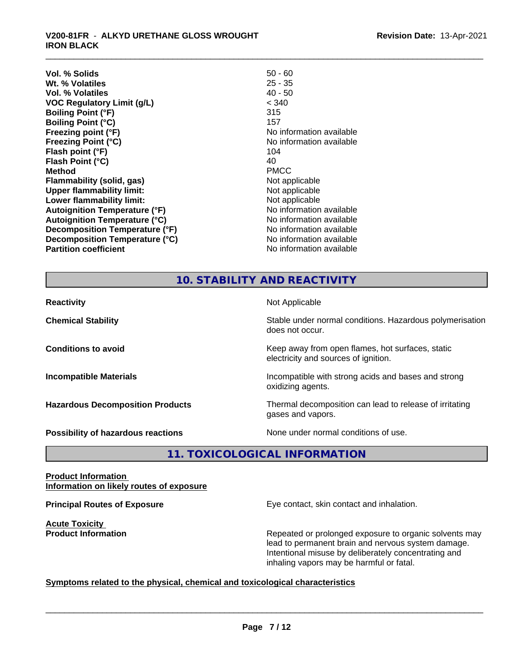#### \_\_\_\_\_\_\_\_\_\_\_\_\_\_\_\_\_\_\_\_\_\_\_\_\_\_\_\_\_\_\_\_\_\_\_\_\_\_\_\_\_\_\_\_\_\_\_\_\_\_\_\_\_\_\_\_\_\_\_\_\_\_\_\_\_\_\_\_\_\_\_\_\_\_\_\_\_\_\_\_\_\_\_\_\_\_\_\_\_\_\_\_\_ **V200-81FR** - **ALKYD URETHANE GLOSS WROUGHT IRON BLACK**

| Vol. % Solids                         | $50 - 60$                |
|---------------------------------------|--------------------------|
| Wt. % Volatiles                       | $25 - 35$                |
| Vol. % Volatiles                      | $40 - 50$                |
| <b>VOC Regulatory Limit (g/L)</b>     | < 340                    |
| <b>Boiling Point (°F)</b>             | 315                      |
| <b>Boiling Point (°C)</b>             | 157                      |
| Freezing point (°F)                   | No information available |
| <b>Freezing Point (°C)</b>            | No information available |
| Flash point (°F)                      | 104                      |
| Flash Point (°C)                      | 40                       |
| Method                                | <b>PMCC</b>              |
| Flammability (solid, gas)             | Not applicable           |
| <b>Upper flammability limit:</b>      | Not applicable           |
| Lower flammability limit:             | Not applicable           |
| <b>Autoignition Temperature (°F)</b>  | No information available |
| <b>Autoignition Temperature (°C)</b>  | No information available |
| <b>Decomposition Temperature (°F)</b> | No information available |
| Decomposition Temperature (°C)        | No information available |
| <b>Partition coefficient</b>          | No information available |
|                                       |                          |

#### **10. STABILITY AND REACTIVITY**

| <b>Reactivity</b>                       | Not Applicable                                                                           |
|-----------------------------------------|------------------------------------------------------------------------------------------|
| <b>Chemical Stability</b>               | Stable under normal conditions. Hazardous polymerisation<br>does not occur.              |
| <b>Conditions to avoid</b>              | Keep away from open flames, hot surfaces, static<br>electricity and sources of ignition. |
| <b>Incompatible Materials</b>           | Incompatible with strong acids and bases and strong<br>oxidizing agents.                 |
| <b>Hazardous Decomposition Products</b> | Thermal decomposition can lead to release of irritating<br>gases and vapors.             |
| Possibility of hazardous reactions      | None under normal conditions of use.                                                     |

**11. TOXICOLOGICAL INFORMATION**

#### **Product Information Information on likely routes of exposure**

**Acute Toxicity** 

**Principal Routes of Exposure Exposure** Eye contact, skin contact and inhalation.

**Product Information Repeated or prolonged exposure to organic solvents may** Repeated or prolonged exposure to organic solvents may lead to permanent brain and nervous system damage. Intentional misuse by deliberately concentrating and inhaling vapors may be harmful or fatal.

### **Symptoms related to the physical,chemical and toxicological characteristics**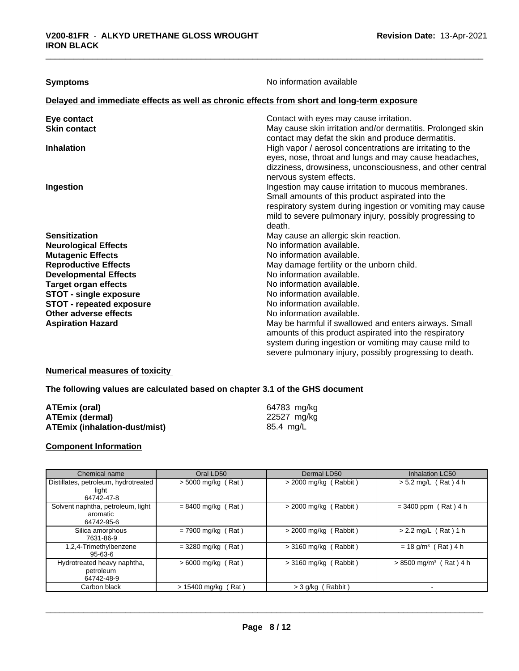**Symptoms** No information available

#### **Delayed and immediate effects as well as chronic effects from short and long-term exposure**

| Eye contact                     | Contact with eyes may cause irritation.                                                                           |
|---------------------------------|-------------------------------------------------------------------------------------------------------------------|
| <b>Skin contact</b>             | May cause skin irritation and/or dermatitis. Prolonged skin<br>contact may defat the skin and produce dermatitis. |
| <b>Inhalation</b>               | High vapor / aerosol concentrations are irritating to the                                                         |
|                                 | eyes, nose, throat and lungs and may cause headaches,                                                             |
|                                 | dizziness, drowsiness, unconsciousness, and other central                                                         |
|                                 | nervous system effects.                                                                                           |
| Ingestion                       | Ingestion may cause irritation to mucous membranes.                                                               |
|                                 | Small amounts of this product aspirated into the                                                                  |
|                                 | respiratory system during ingestion or vomiting may cause                                                         |
|                                 | mild to severe pulmonary injury, possibly progressing to                                                          |
|                                 | death.                                                                                                            |
| <b>Sensitization</b>            | May cause an allergic skin reaction.                                                                              |
| <b>Neurological Effects</b>     | No information available.                                                                                         |
| <b>Mutagenic Effects</b>        | No information available.                                                                                         |
| <b>Reproductive Effects</b>     | May damage fertility or the unborn child.                                                                         |
| <b>Developmental Effects</b>    | No information available.                                                                                         |
| <b>Target organ effects</b>     | No information available.                                                                                         |
| <b>STOT - single exposure</b>   | No information available.                                                                                         |
| <b>STOT - repeated exposure</b> | No information available.                                                                                         |
| Other adverse effects           | No information available.                                                                                         |
| <b>Aspiration Hazard</b>        | May be harmful if swallowed and enters airways. Small                                                             |
|                                 | amounts of this product aspirated into the respiratory                                                            |
|                                 | system during ingestion or vomiting may cause mild to                                                             |
|                                 | severe pulmonary injury, possibly progressing to death.                                                           |

#### **Numerical measures of toxicity**

#### **The following values are calculated based on chapter 3.1 of the GHS document**

| ATEmix (oral)                 | 64783 mg/kg |
|-------------------------------|-------------|
| ATEmix (dermal)               | 22527 mg/kg |
| ATEmix (inhalation-dust/mist) | 85.4 mg/L   |

#### **Component Information**

| Chemical name                                               | Oral LD50             | Dermal LD50             | <b>Inhalation LC50</b>               |
|-------------------------------------------------------------|-----------------------|-------------------------|--------------------------------------|
| Distillates, petroleum, hydrotreated<br>light<br>64742-47-8 | > 5000 mg/kg (Rat)    | $>$ 2000 mg/kg (Rabbit) | $> 5.2$ mg/L (Rat) 4 h               |
| Solvent naphtha, petroleum, light<br>aromatic<br>64742-95-6 | $= 8400$ mg/kg (Rat)  | $>$ 2000 mg/kg (Rabbit) | $= 3400$ ppm (Rat) 4 h               |
| Silica amorphous<br>7631-86-9                               | $= 7900$ mg/kg (Rat)  | $>$ 2000 mg/kg (Rabbit) | $> 2.2$ mg/L (Rat) 1 h               |
| 1,2,4-Trimethylbenzene<br>$95 - 63 - 6$                     | $= 3280$ mg/kg (Rat)  | $>$ 3160 mg/kg (Rabbit) | $= 18$ g/m <sup>3</sup> (Rat) 4 h    |
| Hydrotreated heavy naphtha,<br>petroleum<br>64742-48-9      | $> 6000$ mg/kg (Rat)  | $>$ 3160 mg/kg (Rabbit) | $> 8500$ mg/m <sup>3</sup> (Rat) 4 h |
| Carbon black                                                | $> 15400$ mg/kg (Rat) | > 3 g/kg (Rabbit)       |                                      |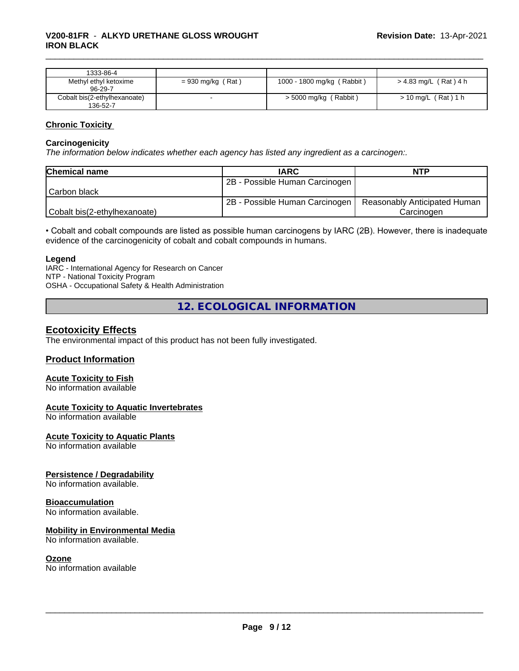| 1333-86-4                                |                     |                            |                       |
|------------------------------------------|---------------------|----------------------------|-----------------------|
| Methyl ethyl ketoxime<br>96-29-7         | $= 930$ mg/kg (Rat) | 1000 - 1800 mg/kg (Rabbit) | > 4.83 mg/L (Rat) 4 h |
| Cobalt bis(2-ethylhexanoate)<br>136-52-7 |                     | $>$ 5000 mg/kg (Rabbit)    | $> 10$ mg/L (Rat) 1 h |

#### **Chronic Toxicity**

#### **Carcinogenicity**

*The information below indicateswhether each agency has listed any ingredient as a carcinogen:.*

| <b>Chemical name</b>         | <b>IARC</b>                    | <b>NTP</b>                   |
|------------------------------|--------------------------------|------------------------------|
|                              | 2B - Possible Human Carcinogen |                              |
| l Carbon black               |                                |                              |
|                              | 2B - Possible Human Carcinogen | Reasonably Anticipated Human |
| Cobalt bis(2-ethylhexanoate) |                                | Carcinoɑen                   |

• Cobalt and cobalt compounds are listed as possible human carcinogens by IARC (2B). However, there is inadequate evidence of the carcinogenicity of cobalt and cobalt compounds in humans.

#### **Legend**

IARC - International Agency for Research on Cancer NTP - National Toxicity Program OSHA - Occupational Safety & Health Administration

**12. ECOLOGICAL INFORMATION**

#### **Ecotoxicity Effects**

The environmental impact of this product has not been fully investigated.

#### **Product Information**

#### **Acute Toxicity to Fish**

No information available

#### **Acute Toxicity to Aquatic Invertebrates**

No information available

#### **Acute Toxicity to Aquatic Plants**

No information available

#### **Persistence / Degradability**

No information available.

#### **Bioaccumulation**

No information available.

#### **Mobility in Environmental Media**

No information available.

#### **Ozone**

No information available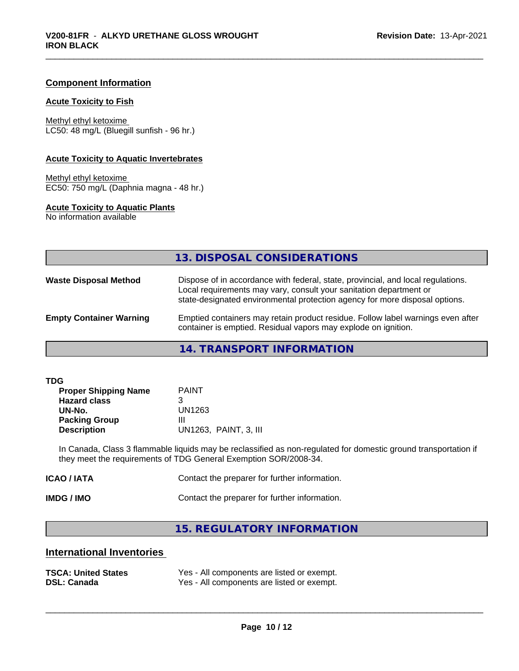#### **Component Information**

#### **Acute Toxicity to Fish**

Methyl ethyl ketoxime LC50: 48 mg/L (Bluegill sunfish - 96 hr.)

#### **Acute Toxicity to Aquatic Invertebrates**

Methyl ethyl ketoxime EC50: 750 mg/L (Daphnia magna - 48 hr.)

#### **Acute Toxicity to Aquatic Plants**

No information available

|                                | 13. DISPOSAL CONSIDERATIONS                                                                                                                                                                                                           |
|--------------------------------|---------------------------------------------------------------------------------------------------------------------------------------------------------------------------------------------------------------------------------------|
| <b>Waste Disposal Method</b>   | Dispose of in accordance with federal, state, provincial, and local regulations.<br>Local requirements may vary, consult your sanitation department or<br>state-designated environmental protection agency for more disposal options. |
| <b>Empty Container Warning</b> | Emptied containers may retain product residue. Follow label warnings even after<br>container is emptied. Residual vapors may explode on ignition.                                                                                     |
|                                | 11 TO ANCOODT INIFODIAATIONI                                                                                                                                                                                                          |

**14. TRANSPORT INFORMATION**

| <b>PAINT</b>          |
|-----------------------|
| 3                     |
| UN1263                |
| Ш                     |
| UN1263, PAINT, 3, III |
|                       |

In Canada, Class 3 flammable liquids may be reclassified as non-regulated for domestic ground transportation if they meet the requirements of TDG General Exemption SOR/2008-34.

| ICAO / IATA | Contact the preparer for further information. |
|-------------|-----------------------------------------------|
|             |                                               |

**IMDG / IMO** Contact the preparer for further information.

### **15. REGULATORY INFORMATION**

# **International Inventories**

| <b>TSCA: United States</b> | Yes - All components are listed or exempt. |
|----------------------------|--------------------------------------------|
| <b>DSL: Canada</b>         | Yes - All components are listed or exempt. |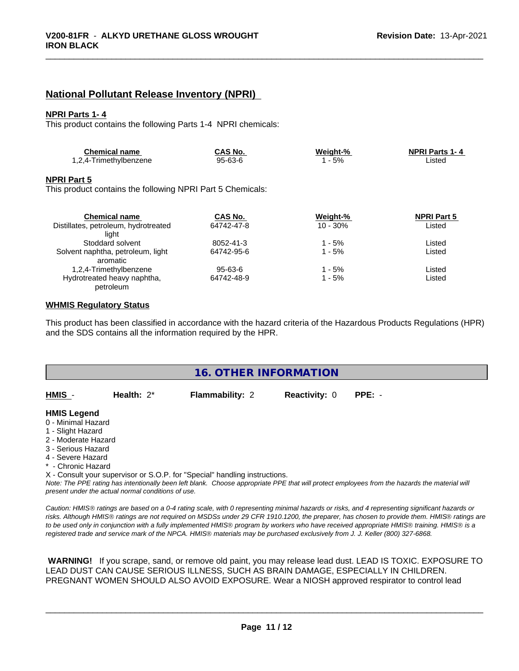## **National Pollutant Release Inventory (NPRI)**

#### **NPRI Parts 1- 4**

This product contains the following Parts 1-4 NPRI chemicals:

| <b>Chemical name</b>  | CAS No. | Weiaht-% | <b>NPRI Parts 1-4</b> |
|-----------------------|---------|----------|-----------------------|
| .2,4-Trimethylbenzene | 95-63-6 | 5%       | ∟isted                |

#### **NPRI Part 5**

This product contains the following NPRI Part 5 Chemicals:

| <b>Chemical name</b>                 | CAS No.    | Weight-%   | <b>NPRI Part 5</b> |  |
|--------------------------------------|------------|------------|--------------------|--|
| Distillates, petroleum, hydrotreated | 64742-47-8 | $10 - 30%$ | Listed             |  |
| liaht                                |            |            |                    |  |
| Stoddard solvent                     | 8052-41-3  | 1 - 5%     | Listed             |  |
| Solvent naphtha, petroleum, light    | 64742-95-6 | 1 - 5%     | Listed             |  |
| aromatic                             |            |            |                    |  |
| 1,2,4-Trimethylbenzene               | 95-63-6    | $1 - 5%$   | Listed             |  |
| Hydrotreated heavy naphtha,          | 64742-48-9 | $1 - 5%$   | Listed             |  |
| petroleum                            |            |            |                    |  |

#### **WHMIS Regulatory Status**

This product has been classified in accordance with the hazard criteria of the Hazardous Products Regulations (HPR) and the SDS contains all the information required by the HPR.

|                                                                                                                                                       |                                                    | 16. OTHER INFORMATION                                                                                                         |                      |                                                                                                                                                                                                                                                                                                                                                                                                                                             |
|-------------------------------------------------------------------------------------------------------------------------------------------------------|----------------------------------------------------|-------------------------------------------------------------------------------------------------------------------------------|----------------------|---------------------------------------------------------------------------------------------------------------------------------------------------------------------------------------------------------------------------------------------------------------------------------------------------------------------------------------------------------------------------------------------------------------------------------------------|
| HMIS -                                                                                                                                                | Health: $2^*$                                      | Flammability: 2                                                                                                               | <b>Reactivity: 0</b> | $PPE: -$                                                                                                                                                                                                                                                                                                                                                                                                                                    |
| <b>HMIS Legend</b><br>0 - Minimal Hazard<br>1 - Slight Hazard<br>2 - Moderate Hazard<br>3 - Serious Hazard<br>4 - Severe Hazard<br>* - Chronic Hazard | present under the actual normal conditions of use. | X - Consult your supervisor or S.O.P. for "Special" handling instructions.                                                    |                      | Note: The PPE rating has intentionally been left blank. Choose appropriate PPE that will protect employees from the hazards the material will                                                                                                                                                                                                                                                                                               |
|                                                                                                                                                       |                                                    | registered trade and service mark of the NPCA. HMIS® materials may be purchased exclusively from J. J. Keller (800) 327-6868. |                      | Caution: HMIS® ratings are based on a 0-4 rating scale, with 0 representing minimal hazards or risks, and 4 representing significant hazards or<br>risks. Although HMIS® ratings are not required on MSDSs under 29 CFR 1910.1200, the preparer, has chosen to provide them. HMIS® ratings are<br>to be used only in conjunction with a fully implemented HMIS® program by workers who have received appropriate HMIS® training. HMIS® is a |

 **WARNING!** If you scrape, sand, or remove old paint, you may release lead dust. LEAD IS TOXIC. EXPOSURE TO LEAD DUST CAN CAUSE SERIOUS ILLNESS, SUCH AS BRAIN DAMAGE, ESPECIALLY IN CHILDREN. PREGNANT WOMEN SHOULD ALSO AVOID EXPOSURE. Wear a NIOSH approved respirator to control lead